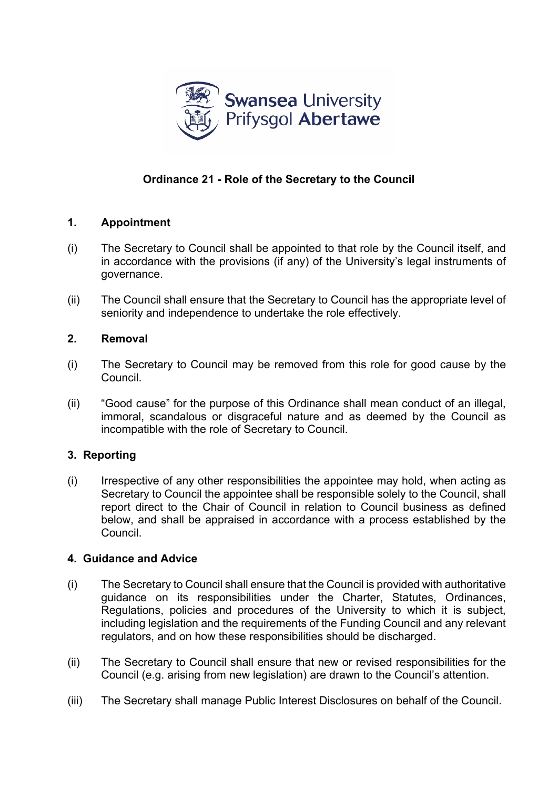

# **Ordinance 21 - Role of the Secretary to the Council**

## **1. Appointment**

- (i) The Secretary to Council shall be appointed to that role by the Council itself, and in accordance with the provisions (if any) of the University's legal instruments of governance.
- (ii) The Council shall ensure that the Secretary to Council has the appropriate level of seniority and independence to undertake the role effectively.

## **2. Removal**

- (i) The Secretary to Council may be removed from this role for good cause by the Council.
- (ii) "Good cause" for the purpose of this Ordinance shall mean conduct of an illegal, immoral, scandalous or disgraceful nature and as deemed by the Council as incompatible with the role of Secretary to Council.

## **3. Reporting**

(i) Irrespective of any other responsibilities the appointee may hold, when acting as Secretary to Council the appointee shall be responsible solely to the Council, shall report direct to the Chair of Council in relation to Council business as defined below, and shall be appraised in accordance with a process established by the Council.

## **4. Guidance and Advice**

- (i) The Secretary to Council shall ensure that the Council is provided with authoritative guidance on its responsibilities under the Charter, Statutes, Ordinances, Regulations, policies and procedures of the University to which it is subject, including legislation and the requirements of the Funding Council and any relevant regulators, and on how these responsibilities should be discharged.
- (ii) The Secretary to Council shall ensure that new or revised responsibilities for the Council (e.g. arising from new legislation) are drawn to the Council's attention.
- (iii) The Secretary shall manage Public Interest Disclosures on behalf of the Council.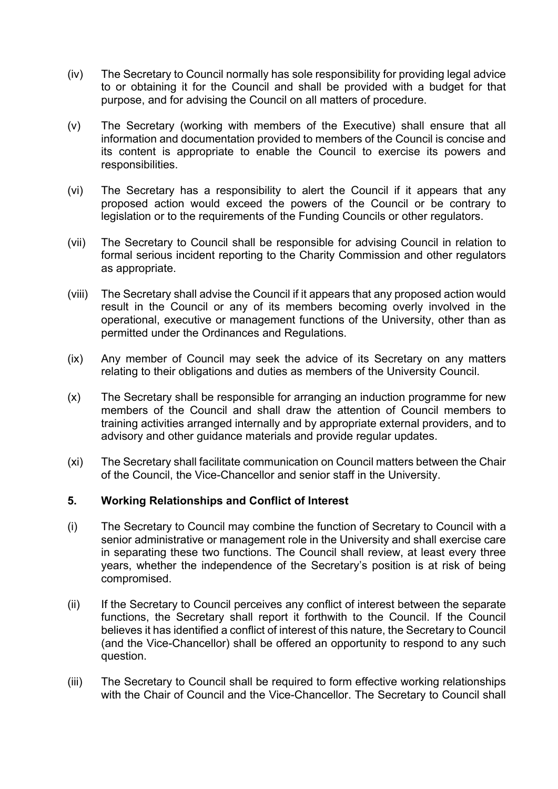- (iv) The Secretary to Council normally has sole responsibility for providing legal advice to or obtaining it for the Council and shall be provided with a budget for that purpose, and for advising the Council on all matters of procedure.
- (v) The Secretary (working with members of the Executive) shall ensure that all information and documentation provided to members of the Council is concise and its content is appropriate to enable the Council to exercise its powers and responsibilities.
- (vi) The Secretary has a responsibility to alert the Council if it appears that any proposed action would exceed the powers of the Council or be contrary to legislation or to the requirements of the Funding Councils or other regulators.
- (vii) The Secretary to Council shall be responsible for advising Council in relation to formal serious incident reporting to the Charity Commission and other regulators as appropriate.
- (viii) The Secretary shall advise the Council if it appears that any proposed action would result in the Council or any of its members becoming overly involved in the operational, executive or management functions of the University, other than as permitted under the Ordinances and Regulations.
- (ix) Any member of Council may seek the advice of its Secretary on any matters relating to their obligations and duties as members of the University Council.
- (x) The Secretary shall be responsible for arranging an induction programme for new members of the Council and shall draw the attention of Council members to training activities arranged internally and by appropriate external providers, and to advisory and other guidance materials and provide regular updates.
- (xi) The Secretary shall facilitate communication on Council matters between the Chair of the Council, the Vice-Chancellor and senior staff in the University.

### **5. Working Relationships and Conflict of Interest**

- (i) The Secretary to Council may combine the function of Secretary to Council with a senior administrative or management role in the University and shall exercise care in separating these two functions. The Council shall review, at least every three years, whether the independence of the Secretary's position is at risk of being compromised.
- (ii) If the Secretary to Council perceives any conflict of interest between the separate functions, the Secretary shall report it forthwith to the Council. If the Council believes it has identified a conflict of interest of this nature, the Secretary to Council (and the Vice-Chancellor) shall be offered an opportunity to respond to any such question.
- (iii) The Secretary to Council shall be required to form effective working relationships with the Chair of Council and the Vice-Chancellor. The Secretary to Council shall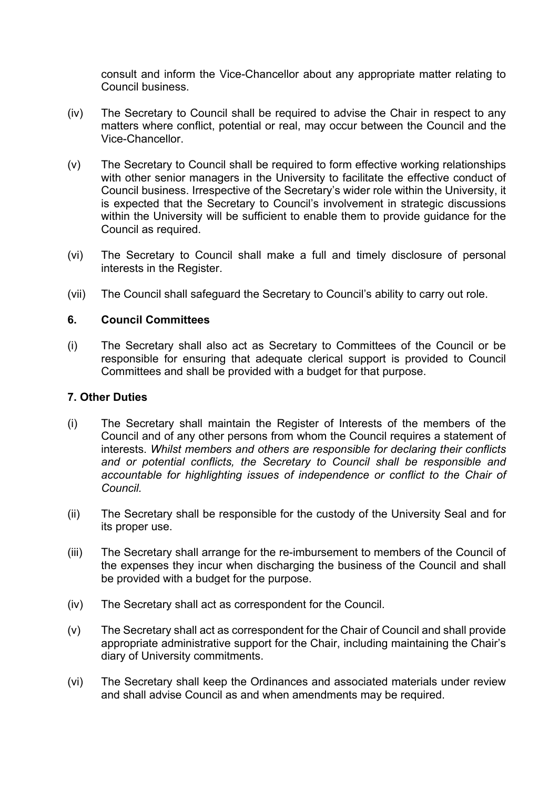consult and inform the Vice-Chancellor about any appropriate matter relating to Council business.

- (iv) The Secretary to Council shall be required to advise the Chair in respect to any matters where conflict, potential or real, may occur between the Council and the Vice-Chancellor.
- (v) The Secretary to Council shall be required to form effective working relationships with other senior managers in the University to facilitate the effective conduct of Council business. Irrespective of the Secretary's wider role within the University, it is expected that the Secretary to Council's involvement in strategic discussions within the University will be sufficient to enable them to provide guidance for the Council as required.
- (vi) The Secretary to Council shall make a full and timely disclosure of personal interests in the Register.
- (vii) The Council shall safeguard the Secretary to Council's ability to carry out role.

#### **6. Council Committees**

(i) The Secretary shall also act as Secretary to Committees of the Council or be responsible for ensuring that adequate clerical support is provided to Council Committees and shall be provided with a budget for that purpose.

#### **7. Other Duties**

- (i) The Secretary shall maintain the Register of Interests of the members of the Council and of any other persons from whom the Council requires a statement of interests. *Whilst members and others are responsible for declaring their conflicts and or potential conflicts, the Secretary to Council shall be responsible and accountable for highlighting issues of independence or conflict to the Chair of Council.*
- (ii) The Secretary shall be responsible for the custody of the University Seal and for its proper use.
- (iii) The Secretary shall arrange for the re-imbursement to members of the Council of the expenses they incur when discharging the business of the Council and shall be provided with a budget for the purpose.
- (iv) The Secretary shall act as correspondent for the Council.
- (v) The Secretary shall act as correspondent for the Chair of Council and shall provide appropriate administrative support for the Chair, including maintaining the Chair's diary of University commitments.
- (vi) The Secretary shall keep the Ordinances and associated materials under review and shall advise Council as and when amendments may be required.